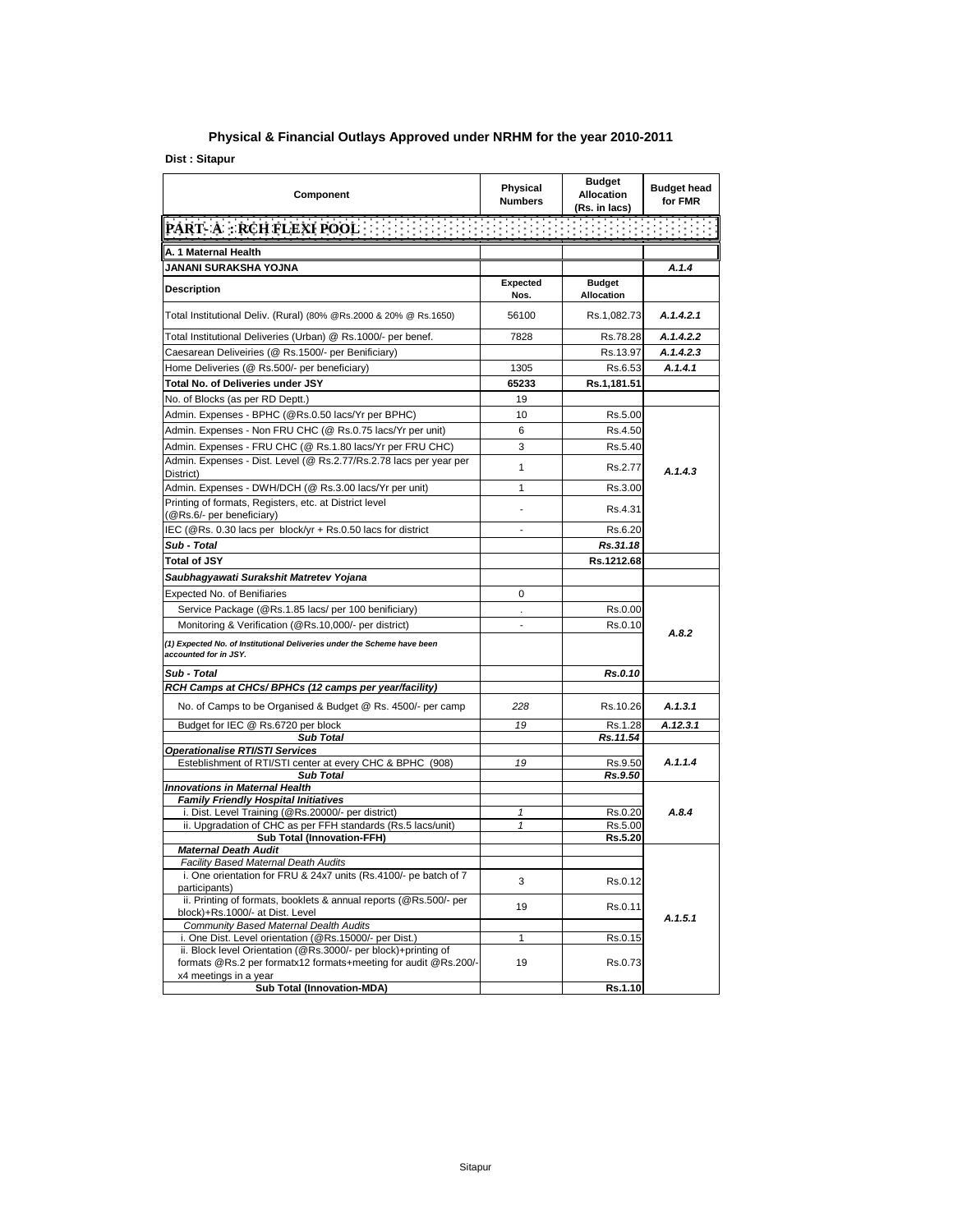## **Physical & Financial Outlays Approved under NRHM for the year 2010-2011**

**Dist : Sitapur**

| Component                                                                                                                         | Physical<br><b>Numbers</b>   | <b>Budget</b><br><b>Allocation</b><br>(Rs. in lacs) | <b>Budget head</b><br>for FMR |
|-----------------------------------------------------------------------------------------------------------------------------------|------------------------------|-----------------------------------------------------|-------------------------------|
| <b>PART A : RCH FLEXI POOL AND RELEASED FOR A</b>                                                                                 |                              |                                                     |                               |
| A. 1 Maternal Health                                                                                                              |                              |                                                     |                               |
| JANANI SURAKSHA YOJNA                                                                                                             |                              |                                                     | A.1.4                         |
| <b>Description</b>                                                                                                                | Expected<br>Nos.             | <b>Budget</b><br><b>Allocation</b>                  |                               |
| Total Institutional Deliv. (Rural) (80% @Rs.2000 & 20% @ Rs.1650)                                                                 | 56100                        | Rs.1,082.73                                         | A.1.4.2.1                     |
| Total Institutional Deliveries (Urban) @ Rs.1000/- per benef.                                                                     | 7828                         | Rs.78.28                                            | A.1.4.2.2                     |
| Caesarean Deliveiries (@ Rs.1500/- per Benificiary)                                                                               |                              | Rs.13.97                                            | A.1.4.2.3                     |
| Home Deliveries (@ Rs.500/- per beneficiary)                                                                                      | 1305                         | Rs.6.53                                             | A.1.4.1                       |
| Total No. of Deliveries under JSY                                                                                                 | 65233                        | Rs.1,181.51                                         |                               |
| No. of Blocks (as per RD Deptt.)                                                                                                  | 19                           |                                                     |                               |
| Admin. Expenses - BPHC (@Rs.0.50 lacs/Yr per BPHC)                                                                                | 10                           | Rs.5.00                                             |                               |
| Admin. Expenses - Non FRU CHC (@ Rs.0.75 lacs/Yr per unit)                                                                        | 6                            | Rs.4.50                                             |                               |
| Admin. Expenses - FRU CHC (@ Rs.1.80 lacs/Yr per FRU CHC)                                                                         | 3                            | Rs.5.40                                             |                               |
| Admin. Expenses - Dist. Level (@ Rs.2.77/Rs.2.78 lacs per year per<br>District)                                                   | 1                            | Rs.2.77                                             | A.1.4.3                       |
| Admin. Expenses - DWH/DCH (@ Rs.3.00 lacs/Yr per unit)                                                                            | 1                            | Rs.3.00                                             |                               |
| Printing of formats, Registers, etc. at District level<br>(@Rs.6/- per beneficiary)                                               | $\blacksquare$               | Rs.4.31                                             |                               |
| IEC (@Rs. 0.30 lacs per block/yr + Rs.0.50 lacs for district                                                                      | $\blacksquare$               | Rs.6.20                                             |                               |
| Sub - Total                                                                                                                       |                              | Rs.31.18                                            |                               |
| <b>Total of JSY</b>                                                                                                               |                              | Rs.1212.68                                          |                               |
| Saubhagyawati Surakshit Matretev Yojana                                                                                           |                              |                                                     |                               |
| <b>Expected No. of Benifiaries</b>                                                                                                | 0                            |                                                     |                               |
| Service Package (@Rs.1.85 lacs/ per 100 benificiary)                                                                              |                              | Rs.0.00                                             |                               |
| Monitoring & Verification (@Rs.10,000/- per district)                                                                             |                              | Rs.0.10                                             |                               |
| (1) Expected No. of Institutional Deliveries under the Scheme have been<br>accounted for in JSY.                                  |                              |                                                     | A.8.2                         |
| Sub - Total                                                                                                                       |                              | <b>Rs.0.10</b>                                      |                               |
| RCH Camps at CHCs/ BPHCs (12 camps per year/facility)                                                                             |                              |                                                     |                               |
| No. of Camps to be Organised & Budget @ Rs. 4500/- per camp                                                                       | 228                          | Rs.10.26                                            | A.1.3.1                       |
| Budget for IEC @ Rs.6720 per block                                                                                                | 19                           | Rs.1.28                                             | A.12.3.1                      |
| <b>Sub Total</b>                                                                                                                  |                              | Rs.11.54                                            |                               |
| Operationalise RTI/STI Services<br>Esteblishment of RTI/STI center at every CHC & BPHC (908)                                      | 19                           | Rs.9.50                                             | A.1.1.4                       |
| <b>Sub Total</b>                                                                                                                  |                              | Rs.9.50                                             |                               |
| <b>Innovations in Maternal Health</b>                                                                                             |                              |                                                     |                               |
| <b>Family Friendly Hospital Initiatives</b>                                                                                       |                              |                                                     |                               |
| i. Dist. Level Training (@Rs.20000/- per district)                                                                                | $\mathbf{1}$<br>$\mathbf{1}$ | Rs.0.20                                             | A.8.4                         |
| ii. Upgradation of CHC as per FFH standards (Rs.5 lacs/unit)<br><b>Sub Total (Innovation-FFH)</b>                                 |                              | Rs.5.00<br>Rs.5.20                                  |                               |
| <b>Maternal Death Audit</b>                                                                                                       |                              |                                                     |                               |
| Facility Based Maternal Death Audits                                                                                              |                              |                                                     |                               |
| i. One orientation for FRU & 24x7 units (Rs.4100/- pe batch of 7<br>participants)                                                 | 3                            | Rs.0.12                                             |                               |
| ii. Printing of formats, booklets & annual reports (@Rs.500/- per<br>block)+Rs.1000/- at Dist. Level                              | 19                           | Rs.0.11                                             | A.1.5.1                       |
| <b>Community Based Maternal Dealth Audits</b><br>i. One Dist. Level orientation (@Rs.15000/- per Dist.)                           | $\mathbf{1}$                 | Rs.0.15                                             |                               |
| ii. Block level Orientation (@Rs.3000/- per block)+printing of<br>formats @Rs.2 per formatx12 formats+meeting for audit @Rs.200/- | 19                           | Rs.0.73                                             |                               |
| x4 meetings in a year<br>Sub Total (Innovation-MDA)                                                                               |                              | Rs.1.10                                             |                               |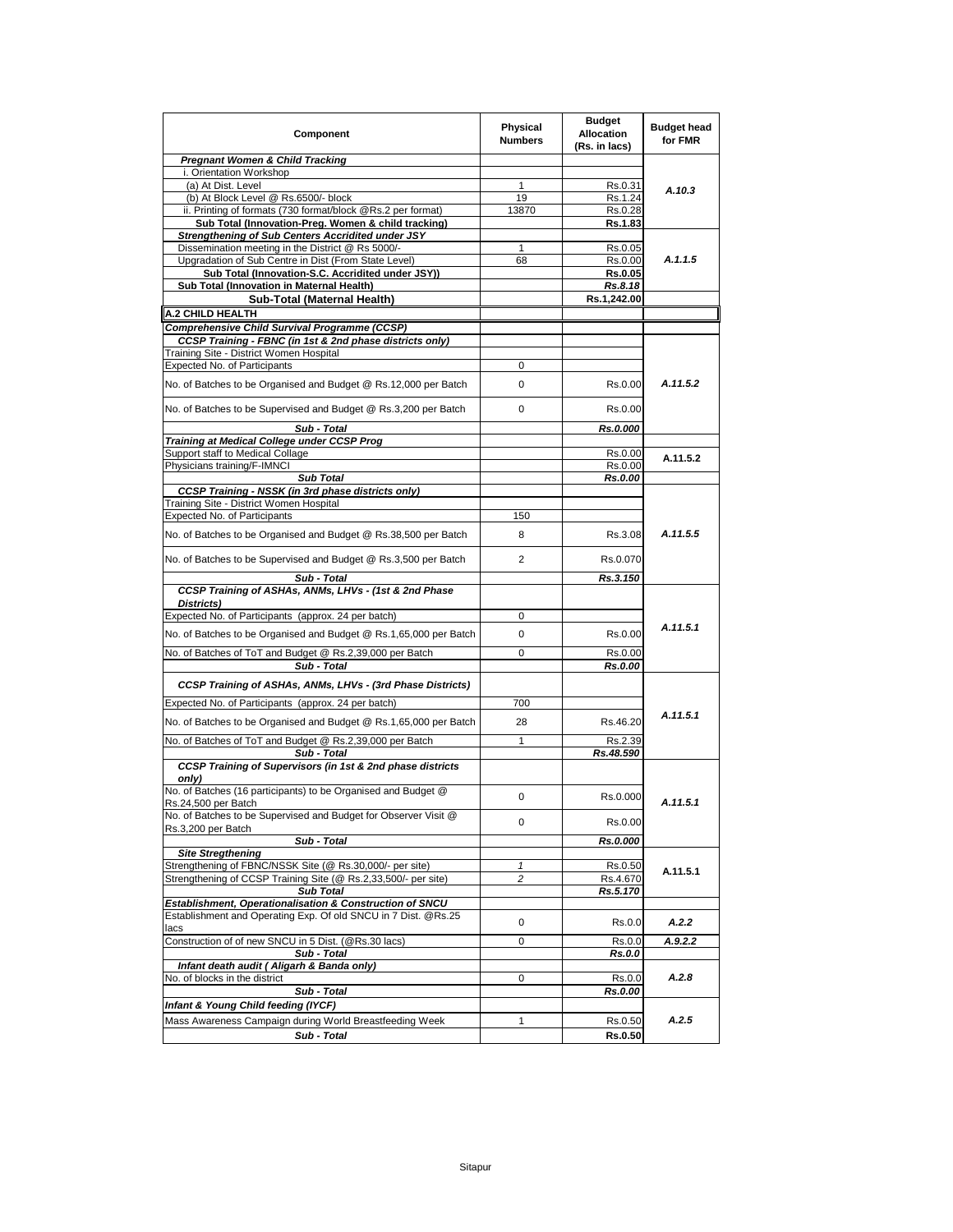| Component                                                                                                                  | Physical<br><b>Numbers</b> | Budget<br><b>Allocation</b><br>(Rs. in lacs) | <b>Budget head</b><br>for FMR |
|----------------------------------------------------------------------------------------------------------------------------|----------------------------|----------------------------------------------|-------------------------------|
| <b>Pregnant Women &amp; Child Tracking</b>                                                                                 |                            |                                              |                               |
| i. Orientation Workshop                                                                                                    |                            |                                              |                               |
| (a) At Dist. Level<br>(b) At Block Level @ Rs.6500/- block                                                                 | 1<br>19                    | Rs.0.31<br>Rs.1.24                           | A.10.3                        |
| ii. Printing of formats (730 format/block @Rs.2 per format)                                                                | 13870                      | Rs.0.28                                      |                               |
| Sub Total (Innovation-Preg. Women & child tracking)                                                                        |                            | Rs.1.83                                      |                               |
| Strengthening of Sub Centers Accridited under JSY                                                                          |                            |                                              |                               |
| Dissemination meeting in the District @ Rs 5000/-                                                                          | 1                          | Rs.0.05                                      |                               |
| Upgradation of Sub Centre in Dist (From State Level)                                                                       | 68                         | Rs.0.00                                      | A.1.1.5                       |
| Sub Total (Innovation-S.C. Accridited under JSY))                                                                          |                            | <b>Rs.0.05</b>                               |                               |
| Sub Total (Innovation in Maternal Health)<br>Sub-Total (Maternal Health)                                                   |                            | Rs.8.18                                      |                               |
|                                                                                                                            |                            | Rs.1,242.00                                  |                               |
| <b>A.2 CHILD HEALTH</b>                                                                                                    |                            |                                              |                               |
| Comprehensive Child Survival Programme (CCSP)<br>CCSP Training - FBNC (in 1st & 2nd phase districts only)                  |                            |                                              |                               |
| Training Site - District Women Hospital                                                                                    |                            |                                              |                               |
| Expected No. of Participants                                                                                               | 0                          |                                              |                               |
|                                                                                                                            |                            |                                              | A.11.5.2                      |
| No. of Batches to be Organised and Budget @ Rs.12,000 per Batch                                                            | 0                          | Rs.0.00                                      |                               |
| No. of Batches to be Supervised and Budget @ Rs.3,200 per Batch                                                            | 0                          | Rs.0.00                                      |                               |
| Sub - Total                                                                                                                |                            | Rs.0.000                                     |                               |
| Training at Medical College under CCSP Prog                                                                                |                            |                                              |                               |
| Support staff to Medical Collage                                                                                           |                            | Rs.0.00                                      | A.11.5.2                      |
| Physicians training/F-IMNCI                                                                                                |                            | Rs.0.00                                      |                               |
| <b>Sub Total</b><br><b>CCSP Training - NSSK (in 3rd phase districts only)</b>                                              |                            | <b>Rs.0.00</b>                               |                               |
| Training Site - District Women Hospital                                                                                    |                            |                                              |                               |
| Expected No. of Participants                                                                                               | 150                        |                                              |                               |
| No. of Batches to be Organised and Budget @ Rs.38,500 per Batch                                                            | 8                          | Rs.3.08                                      | A.11.5.5                      |
| No. of Batches to be Supervised and Budget @ Rs.3,500 per Batch                                                            | 2                          | Rs.0.070                                     |                               |
| Sub - Total                                                                                                                |                            | Rs.3.150                                     |                               |
| CCSP Training of ASHAs, ANMs, LHVs - (1st & 2nd Phase                                                                      |                            |                                              |                               |
| Districts)<br>Expected No. of Participants (approx. 24 per batch)                                                          | 0                          |                                              |                               |
|                                                                                                                            | 0                          | Rs.0.00                                      | A.11.5.1                      |
| No. of Batches to be Organised and Budget @ Rs.1,65,000 per Batch                                                          |                            |                                              |                               |
| No. of Batches of ToT and Budget @ Rs.2,39,000 per Batch                                                                   | 0                          | Rs.0.00                                      |                               |
| Sub - Total<br>CCSP Training of ASHAs, ANMs, LHVs - (3rd Phase Districts)                                                  |                            | Rs.0.00                                      |                               |
|                                                                                                                            | 700                        |                                              |                               |
| Expected No. of Participants (approx. 24 per batch)                                                                        |                            |                                              | A.11.5.1                      |
| No. of Batches to be Organised and Budget @ Rs.1,65,000 per Batch                                                          | 28                         | Rs.46.20                                     |                               |
| No. of Batches of ToT and Budget @ Rs.2,39,000 per Batch                                                                   | 1                          | Rs.2.39                                      |                               |
| Sub - Total                                                                                                                |                            | Rs.48.590                                    |                               |
| CCSP Training of Supervisors (in 1st & 2nd phase districts<br>onlv                                                         |                            |                                              |                               |
| No. of Batches (16 participants) to be Organised and Budget @<br>Rs.24,500 per Batch                                       | 0                          | Rs.0.000                                     | A.11.5.1                      |
| No. of Batches to be Supervised and Budget for Observer Visit @<br>Rs.3,200 per Batch                                      | 0                          | Rs.0.00                                      |                               |
| Sub - Total                                                                                                                |                            | Rs.0.000                                     |                               |
| <b>Site Stregthening</b>                                                                                                   |                            |                                              |                               |
| Strengthening of FBNC/NSSK Site (@ Rs.30,000/- per site)                                                                   | 1                          | Rs.0.50                                      | A.11.5.1                      |
| Strengthening of CCSP Training Site (@ Rs.2,33,500/- per site)                                                             | 2                          | Rs.4.670                                     |                               |
| <b>Sub Total</b>                                                                                                           |                            | Rs.5.170                                     |                               |
| Establishment, Operationalisation & Construction of SNCU<br>Establishment and Operating Exp. Of old SNCU in 7 Dist. @Rs.25 |                            |                                              |                               |
| lacs                                                                                                                       | 0<br>0                     | Rs.0.0                                       | A.2.2                         |
| Construction of of new SNCU in 5 Dist. (@Rs.30 lacs)<br>Sub - Total                                                        |                            | Rs.0.0<br>Rs.0.0                             | A.9.2.2                       |
| Infant death audit (Aligarh & Banda only)                                                                                  |                            |                                              |                               |
| No. of blocks in the district                                                                                              | 0                          | Rs.0.0                                       | A.2.8                         |
| Sub - Total                                                                                                                |                            | Rs.0.00                                      |                               |
| Infant & Young Child feeding (IYCF)                                                                                        |                            |                                              |                               |
| Mass Awareness Campaign during World Breastfeeding Week                                                                    | 1                          | Rs.0.50                                      | A.2.5                         |
| Sub - Total                                                                                                                |                            | Rs.0.50                                      |                               |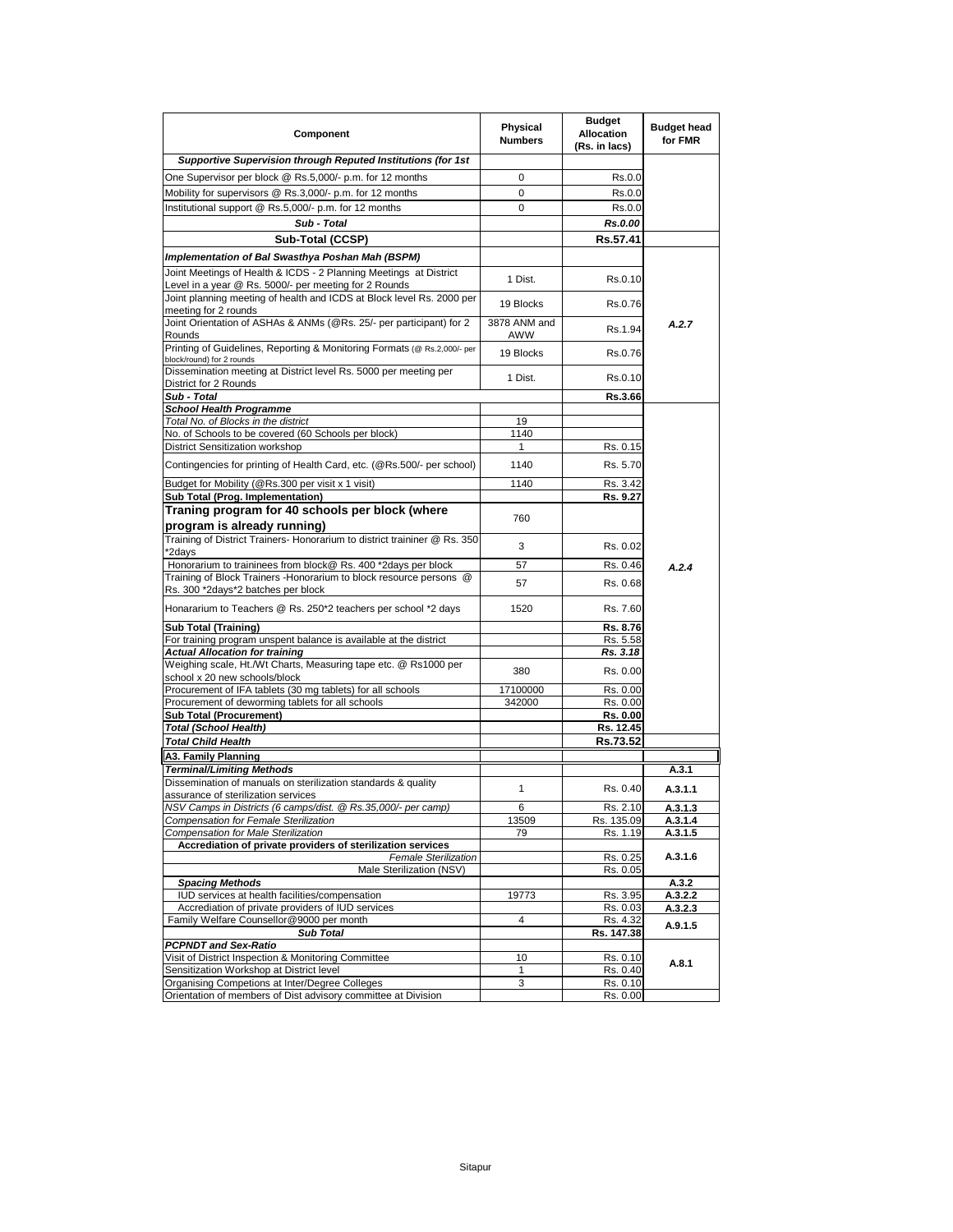| Component                                                                                                                  | Physical<br><b>Numbers</b> | <b>Budget</b><br><b>Allocation</b><br>(Rs. in lacs) | <b>Budget head</b><br>for FMR |
|----------------------------------------------------------------------------------------------------------------------------|----------------------------|-----------------------------------------------------|-------------------------------|
| Supportive Supervision through Reputed Institutions (for 1st                                                               |                            |                                                     |                               |
| One Supervisor per block @ Rs.5,000/- p.m. for 12 months                                                                   | 0                          | Rs.0.0                                              |                               |
| Mobility for supervisors @ Rs.3,000/- p.m. for 12 months                                                                   | 0                          | Rs.0.0                                              |                               |
| Institutional support @ Rs.5,000/- p.m. for 12 months                                                                      | 0                          | Rs.0.0                                              |                               |
| Sub - Total                                                                                                                |                            | Rs.0.00                                             |                               |
| Sub-Total (CCSP)                                                                                                           |                            | Rs.57.41                                            |                               |
| Implementation of Bal Swasthya Poshan Mah (BSPM)                                                                           |                            |                                                     |                               |
| Joint Meetings of Health & ICDS - 2 Planning Meetings at District<br>Level in a year @ Rs. 5000/- per meeting for 2 Rounds | 1 Dist.                    | Rs.0.10                                             |                               |
| Joint planning meeting of health and ICDS at Block level Rs. 2000 per<br>meeting for 2 rounds                              | 19 Blocks                  | Rs.0.76                                             |                               |
| Joint Orientation of ASHAs & ANMs (@Rs. 25/- per participant) for 2<br>Rounds                                              | 3878 ANM and<br>AWW        | Rs.1.94                                             | A.2.7                         |
| Printing of Guidelines, Reporting & Monitoring Formats (@ Rs.2,000/- per<br>block/round) for 2 rounds                      | 19 Blocks                  | Rs.0.76                                             |                               |
| Dissemination meeting at District level Rs. 5000 per meeting per<br>District for 2 Rounds                                  | 1 Dist.                    | Rs.0.10                                             |                               |
| Sub - Total                                                                                                                |                            | Rs.3.66                                             |                               |
| <b>School Health Programme</b>                                                                                             |                            |                                                     |                               |
| Total No. of Blocks in the district                                                                                        | 19                         |                                                     |                               |
| No. of Schools to be covered (60 Schools per block)                                                                        | 1140                       |                                                     |                               |
| <b>District Sensitization workshop</b>                                                                                     | 1                          | Rs. 0.15                                            |                               |
| Contingencies for printing of Health Card, etc. (@Rs.500/- per school)                                                     | 1140                       | Rs. 5.70                                            |                               |
| Budget for Mobility (@Rs.300 per visit x 1 visit)                                                                          | 1140                       | Rs. 3.42                                            |                               |
| Sub Total (Prog. Implementation)<br>Traning program for 40 schools per block (where                                        | 760                        | Rs. 9.27                                            |                               |
| program is already running)                                                                                                |                            |                                                     |                               |
| Training of District Trainers- Honorarium to district traininer @ Rs. 350<br>*2davs                                        | 3                          | Rs. 0.02                                            |                               |
| Honorarium to traininees from block@ Rs. 400 *2days per block                                                              | 57                         | Rs. 0.46                                            | A.2.4                         |
| Training of Block Trainers - Honorarium to block resource persons @<br>Rs. 300 *2days*2 batches per block                  | 57                         | Rs. 0.68                                            |                               |
| Honararium to Teachers @ Rs. 250*2 teachers per school *2 days                                                             | 1520                       | Rs. 7.60                                            |                               |
| <b>Sub Total (Training)</b>                                                                                                |                            | Rs. 8.76                                            |                               |
| For training program unspent balance is available at the district                                                          |                            | Rs. 5.58                                            |                               |
| <b>Actual Allocation for training</b>                                                                                      |                            | Rs. 3.18                                            |                               |
| Weighing scale, Ht./Wt Charts, Measuring tape etc. @ Rs1000 per<br>school x 20 new schools/block                           | 380                        | Rs. 0.00                                            |                               |
| Procurement of IFA tablets (30 mg tablets) for all schools                                                                 | 17100000                   | Rs. 0.00                                            |                               |
| Procurement of deworming tablets for all schools                                                                           | 342000                     | Rs. 0.00                                            |                               |
| <b>Sub Total (Procurement)</b>                                                                                             |                            | Rs. 0.00                                            |                               |
| <b>Total (School Health)</b><br><b>Total Child Health</b>                                                                  |                            | Rs. 12.45                                           |                               |
|                                                                                                                            |                            | Rs.73.52                                            |                               |
| A3. Family Planning                                                                                                        |                            |                                                     |                               |
| Terminal/Limiting Methods<br>Dissemination of manuals on sterilization standards & quality                                 | 1                          | Rs. 0.40                                            | A.3.1<br>A.3.1.1              |
| assurance of sterilization services<br>NSV Camps in Districts (6 camps/dist. @ Rs.35,000/- per camp)                       |                            | Rs. 2.10                                            | A.3.1.3                       |
| Compensation for Female Sterilization                                                                                      | 13509                      | Rs. 135.09                                          | A.3.1.4                       |
| Compensation for Male Sterilization                                                                                        | 79                         | Rs. 1.19                                            | A.3.1.5                       |
| Accrediation of private providers of sterilization services                                                                |                            |                                                     |                               |
| <b>Female Sterilization</b><br>Male Sterilization (NSV)                                                                    |                            | Rs. 0.25<br>Rs. 0.05                                | A.3.1.6                       |
| <b>Spacing Methods</b>                                                                                                     |                            |                                                     | A.3.2                         |
| IUD services at health facilities/compensation                                                                             | 19773                      | Rs. 3.95                                            | A.3.2.2                       |
| Accrediation of private providers of IUD services                                                                          |                            | Rs. 0.03                                            | A.3.2.3                       |
| Family Welfare Counsellor@9000 per month                                                                                   | 4                          | Rs. 4.32                                            | A.9.1.5                       |
| <b>Sub Total</b>                                                                                                           |                            | Rs. 147.38                                          |                               |
| <b>PCPNDT and Sex-Ratio</b><br>Visit of District Inspection & Monitoring Committee                                         | 10                         | Rs. 0.10                                            |                               |
| Sensitization Workshop at District level                                                                                   | 1                          | Rs. 0.40                                            | A.8.1                         |
| Organising Competions at Inter/Degree Colleges                                                                             | 3                          | Rs. 0.10                                            |                               |
| Orientation of members of Dist advisory committee at Division                                                              |                            | Rs. 0.00                                            |                               |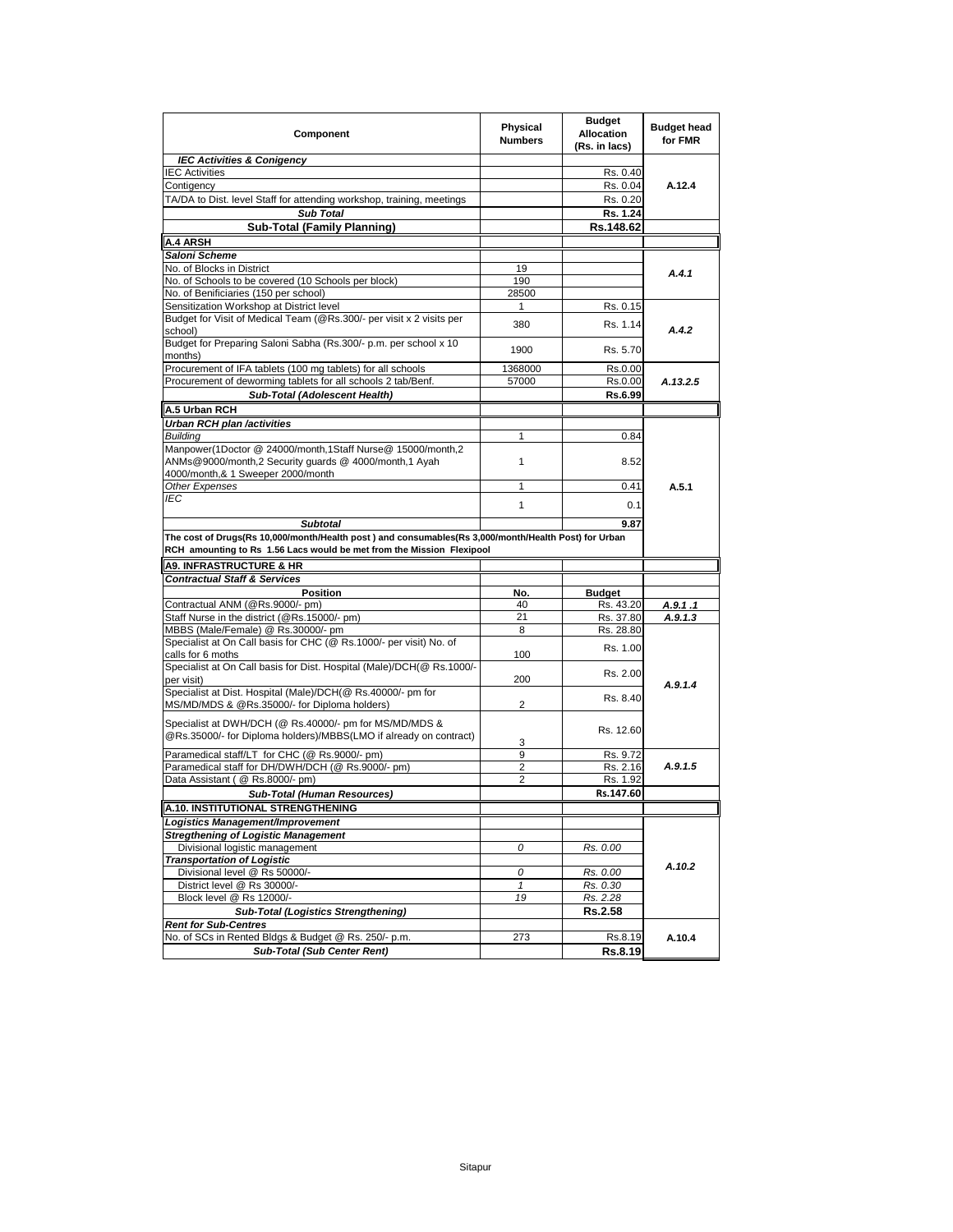| Component                                                                                                                                                                                                                                                 | Physical<br><b>Numbers</b> | <b>Budget</b><br><b>Allocation</b><br>(Rs. in lacs) | <b>Budget head</b><br>for FMR |
|-----------------------------------------------------------------------------------------------------------------------------------------------------------------------------------------------------------------------------------------------------------|----------------------------|-----------------------------------------------------|-------------------------------|
| <b>IEC Activities &amp; Conigency</b>                                                                                                                                                                                                                     |                            |                                                     |                               |
| <b>IEC Activities</b>                                                                                                                                                                                                                                     |                            | Rs. 0.40                                            |                               |
| Contigency                                                                                                                                                                                                                                                |                            | Rs. 0.04                                            | A.12.4                        |
| TA/DA to Dist. level Staff for attending workshop, training, meetings                                                                                                                                                                                     |                            | Rs. 0.20                                            |                               |
| <b>Sub Total</b>                                                                                                                                                                                                                                          |                            | Rs. 1.24                                            |                               |
| <b>Sub-Total (Family Planning)</b>                                                                                                                                                                                                                        |                            | Rs.148.62                                           |                               |
| <b>A.4 ARSH</b>                                                                                                                                                                                                                                           |                            |                                                     |                               |
| Saloni Scheme                                                                                                                                                                                                                                             |                            |                                                     |                               |
| No. of Blocks in District                                                                                                                                                                                                                                 | 19                         |                                                     | A.4.1                         |
| No. of Schools to be covered (10 Schools per block)                                                                                                                                                                                                       | 190                        |                                                     |                               |
| No. of Benificiaries (150 per school)                                                                                                                                                                                                                     | 28500                      |                                                     |                               |
| Sensitization Workshop at District level                                                                                                                                                                                                                  | 1                          | Rs. 0.15                                            |                               |
| Budget for Visit of Medical Team (@Rs.300/- per visit x 2 visits per                                                                                                                                                                                      | 380                        | Rs. 1.14                                            |                               |
| school)                                                                                                                                                                                                                                                   |                            |                                                     | A.4.2                         |
| Budget for Preparing Saloni Sabha (Rs.300/- p.m. per school x 10<br>months)                                                                                                                                                                               | 1900                       | Rs. 5.70                                            |                               |
| Procurement of IFA tablets (100 mg tablets) for all schools                                                                                                                                                                                               | 1368000                    | Rs.0.00                                             |                               |
| Procurement of deworming tablets for all schools 2 tab/Benf.                                                                                                                                                                                              | 57000                      | Rs.0.00                                             | A.13.2.5                      |
| Sub-Total (Adolescent Health)                                                                                                                                                                                                                             |                            | Rs.6.99                                             |                               |
| A.5 Urban RCH                                                                                                                                                                                                                                             |                            |                                                     |                               |
| Urban RCH plan /activities                                                                                                                                                                                                                                |                            |                                                     |                               |
| <b>Building</b>                                                                                                                                                                                                                                           | 1                          | 0.84                                                |                               |
| Manpower(1Doctor @ 24000/month,1Staff Nurse@ 15000/month,2                                                                                                                                                                                                |                            |                                                     |                               |
| ANMs@9000/month,2 Security guards @ 4000/month,1 Ayah                                                                                                                                                                                                     | 1                          | 8.52                                                |                               |
| 4000/month,& 1 Sweeper 2000/month                                                                                                                                                                                                                         |                            |                                                     |                               |
| Other Expenses                                                                                                                                                                                                                                            | 1                          | 0.41                                                | A.5.1                         |
| IEC                                                                                                                                                                                                                                                       |                            |                                                     |                               |
|                                                                                                                                                                                                                                                           | 1                          | 0.1                                                 |                               |
|                                                                                                                                                                                                                                                           |                            |                                                     |                               |
| <b>Subtotal</b>                                                                                                                                                                                                                                           |                            | 9.87                                                |                               |
|                                                                                                                                                                                                                                                           |                            |                                                     |                               |
| The cost of Drugs(Rs 10,000/month/Health post) and consumables(Rs 3,000/month/Health Post) for Urban<br>RCH amounting to Rs 1.56 Lacs would be met from the Mission Flexipool                                                                             |                            |                                                     |                               |
|                                                                                                                                                                                                                                                           |                            |                                                     |                               |
|                                                                                                                                                                                                                                                           |                            |                                                     |                               |
|                                                                                                                                                                                                                                                           |                            |                                                     |                               |
| <b>Contractual Staff &amp; Services</b><br><b>Position</b>                                                                                                                                                                                                | No.                        | <b>Budget</b>                                       |                               |
| Contractual ANM (@Rs.9000/- pm)                                                                                                                                                                                                                           | 40                         | Rs. 43.20                                           | A.9.1.1                       |
|                                                                                                                                                                                                                                                           | 21                         | Rs. 37.80                                           | A.9.1.3                       |
|                                                                                                                                                                                                                                                           | 8                          | Rs. 28.80                                           |                               |
|                                                                                                                                                                                                                                                           |                            | Rs. 1.00                                            |                               |
|                                                                                                                                                                                                                                                           | 100                        |                                                     |                               |
|                                                                                                                                                                                                                                                           |                            | Rs. 2.00                                            |                               |
| <b>A9. INFRASTRUCTURE &amp; HR</b><br>Specialist at On Call basis for CHC (@ Rs.1000/- per visit) No. of<br>calls for 6 moths                                                                                                                             | 200                        |                                                     | A.9.1.4                       |
|                                                                                                                                                                                                                                                           | 2                          | Rs. 8.40                                            |                               |
| Specialist at Dist. Hospital (Male)/DCH(@ Rs.40000/- pm for                                                                                                                                                                                               |                            |                                                     |                               |
|                                                                                                                                                                                                                                                           |                            | Rs. 12.60                                           |                               |
|                                                                                                                                                                                                                                                           | 3                          |                                                     |                               |
| Specialist at DWH/DCH (@ Rs.40000/- pm for MS/MD/MDS &<br>@Rs.35000/- for Diploma holders)/MBBS(LMO if already on contract)                                                                                                                               | 9                          | Rs. 9.72                                            |                               |
| Paramedical staff for DH/DWH/DCH (@ Rs.9000/- pm)                                                                                                                                                                                                         | 2                          | Rs. 2.16                                            | A.9.1.5                       |
|                                                                                                                                                                                                                                                           | 2                          | Rs. 1.92                                            |                               |
| <b>Sub-Total (Human Resources)</b>                                                                                                                                                                                                                        |                            | Rs.147.60                                           |                               |
|                                                                                                                                                                                                                                                           |                            |                                                     |                               |
|                                                                                                                                                                                                                                                           |                            |                                                     |                               |
|                                                                                                                                                                                                                                                           |                            |                                                     |                               |
| Divisional logistic management                                                                                                                                                                                                                            | 0                          | Rs. 0.00                                            |                               |
| <b>Transportation of Logistic</b>                                                                                                                                                                                                                         |                            |                                                     |                               |
| Divisional level @ Rs 50000/-                                                                                                                                                                                                                             | 0                          | Rs. 0.00                                            | A.10.2                        |
| District level @ Rs 30000/-                                                                                                                                                                                                                               | 1                          | Rs. 0.30                                            |                               |
| Specialist at On Call basis for Dist. Hospital (Male)/DCH(@ Rs.1000/-<br>per visit)<br>Paramedical staff/LT for CHC (@ Rs.9000/- pm)<br>Data Assistant (@ Rs.8000/- pm)<br>Block level @ Rs 12000/-                                                       | 19                         |                                                     |                               |
| Staff Nurse in the district (@Rs.15000/- pm)<br>MBBS (Male/Female) @ Rs.30000/- pm<br>MS/MD/MDS & @Rs.35000/- for Diploma holders)<br>A.10. INSTITUTIONAL STRENGTHENING<br>Logistics Management/Improvement<br><b>Stregthening of Logistic Management</b> |                            | Rs. 2.28                                            |                               |
| <b>Sub-Total (Logistics Strengthening)</b>                                                                                                                                                                                                                |                            | Rs.2.58                                             |                               |
| <b>Rent for Sub-Centres</b><br>No. of SCs in Rented Bldgs & Budget @ Rs. 250/- p.m.                                                                                                                                                                       | 273                        | Rs.8.19                                             | A.10.4                        |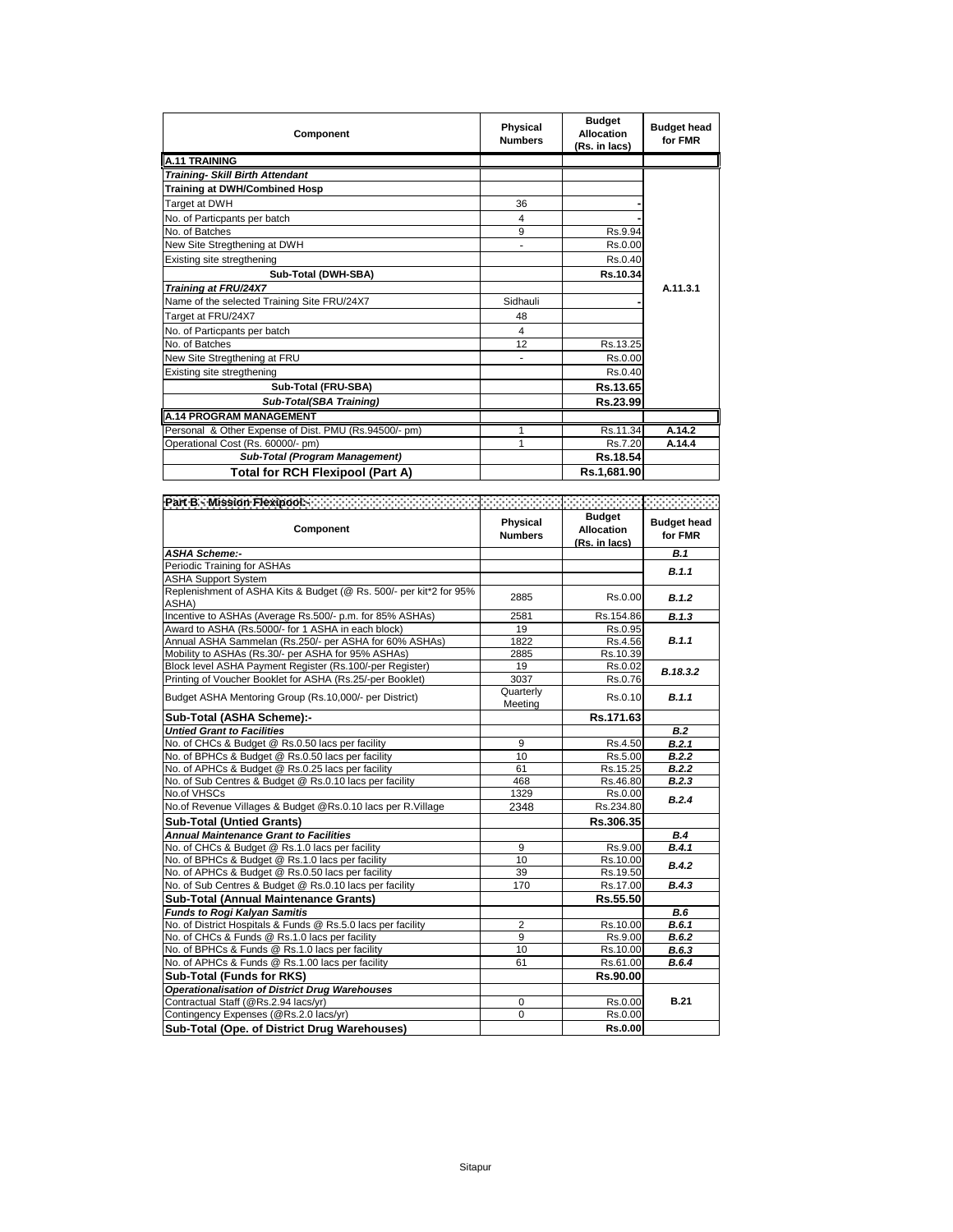| Component                                             | Physical<br><b>Numbers</b> | <b>Budget</b><br><b>Allocation</b><br>(Rs. in lacs) | <b>Budget head</b><br>for FMR |
|-------------------------------------------------------|----------------------------|-----------------------------------------------------|-------------------------------|
| <b>A.11 TRAINING</b>                                  |                            |                                                     |                               |
| <b>Training- Skill Birth Attendant</b>                |                            |                                                     |                               |
| <b>Training at DWH/Combined Hosp</b>                  |                            |                                                     |                               |
| Target at DWH                                         | 36                         |                                                     |                               |
| No. of Particpants per batch                          | 4                          |                                                     |                               |
| No. of Batches                                        | 9                          | Rs.9.94                                             |                               |
| New Site Stregthening at DWH                          | -                          | Rs.0.00                                             |                               |
| Existing site stregthening                            |                            | Rs.0.40                                             |                               |
| Sub-Total (DWH-SBA)                                   |                            | Rs.10.34                                            |                               |
| Training at FRU/24X7                                  |                            |                                                     | A.11.3.1                      |
| Name of the selected Training Site FRU/24X7           | Sidhauli                   |                                                     |                               |
| Target at FRU/24X7                                    | 48                         |                                                     |                               |
| No. of Particpants per batch                          | $\overline{4}$             |                                                     |                               |
| No. of Batches                                        | 12                         | Rs.13.25                                            |                               |
| New Site Stregthening at FRU                          |                            | Rs.0.00                                             |                               |
| Existing site stregthening                            |                            | Rs.0.40                                             |                               |
| Sub-Total (FRU-SBA)                                   |                            | Rs.13.65                                            |                               |
| Sub-Total(SBA Training)                               |                            | Rs.23.99                                            |                               |
| <b>A.14 PROGRAM MANAGEMENT</b>                        |                            |                                                     |                               |
| Personal & Other Expense of Dist. PMU (Rs.94500/- pm) |                            | Rs.11.34                                            | A.14.2                        |
| Operational Cost (Rs. 60000/- pm)                     |                            | Rs.7.20                                             | A.14.4                        |
| Sub-Total (Program Management)                        |                            | Rs.18.54                                            |                               |
| Total for RCH Flexipool (Part A)                      |                            | Rs.1,681.90                                         |                               |

|                                                                             |                            |                                                     | Francisco e al                |
|-----------------------------------------------------------------------------|----------------------------|-----------------------------------------------------|-------------------------------|
| Component                                                                   | Physical<br><b>Numbers</b> | <b>Budget</b><br><b>Allocation</b><br>(Rs. in lacs) | <b>Budget head</b><br>for FMR |
| ASHA Scheme:-                                                               |                            |                                                     | <b>B.1</b>                    |
| Periodic Training for ASHAs                                                 |                            |                                                     | B.1.1                         |
| <b>ASHA Support System</b>                                                  |                            |                                                     |                               |
| Replenishment of ASHA Kits & Budget (@ Rs. 500/- per kit*2 for 95%<br>ASHA) | 2885                       | Rs.0.00                                             | B.1.2                         |
| Incentive to ASHAs (Average Rs.500/- p.m. for 85% ASHAs)                    | 2581                       | Rs.154.86                                           | B.1.3                         |
| Award to ASHA (Rs.5000/- for 1 ASHA in each block)                          | 19                         | Rs.0.95                                             |                               |
| Annual ASHA Sammelan (Rs.250/- per ASHA for 60% ASHAs)                      | 1822                       | Rs.4.56                                             | B.1.1                         |
| Mobility to ASHAs (Rs.30/- per ASHA for 95% ASHAs)                          | 2885                       | Rs.10.39                                            |                               |
| Block level ASHA Payment Register (Rs.100/-per Register)                    | 19                         | Rs.0.02                                             | B.18.3.2                      |
| Printing of Voucher Booklet for ASHA (Rs.25/-per Booklet)                   | 3037                       | Rs.0.76                                             |                               |
| Budget ASHA Mentoring Group (Rs.10,000/- per District)                      | Quarterly<br>Meeting       | Rs.0.10                                             | B.1.1                         |
| Sub-Total (ASHA Scheme):-                                                   |                            | Rs.171.63                                           |                               |
| <b>Untied Grant to Facilities</b>                                           |                            |                                                     | B.2                           |
| No. of CHCs & Budget @ Rs.0.50 lacs per facility                            | 9                          | Rs.4.50                                             | B.2.1                         |
| No. of BPHCs & Budget @ Rs.0.50 lacs per facility                           | 10                         | Rs.5.00                                             | B.2.2                         |
| No. of APHCs & Budget @ Rs.0.25 lacs per facility                           | 61                         | Rs.15.25                                            | B.2.2                         |
| No. of Sub Centres & Budget @ Rs.0.10 lacs per facility                     | 468                        | Rs.46.80                                            | B.2.3                         |
| No.of VHSCs                                                                 | 1329                       | Rs.0.00                                             | B.2.4                         |
| No.of Revenue Villages & Budget @Rs.0.10 lacs per R.Village                 | 2348                       | Rs.234.80                                           |                               |
| <b>Sub-Total (Untied Grants)</b>                                            |                            | Rs.306.35                                           |                               |
| <b>Annual Maintenance Grant to Facilities</b>                               |                            |                                                     | <b>B.4</b>                    |
| No. of CHCs & Budget @ Rs.1.0 lacs per facility                             | 9                          | Rs.9.00                                             | B.4.1                         |
| No. of BPHCs & Budget @ Rs.1.0 lacs per facility                            | 10                         | Rs.10.00                                            | B.4.2                         |
| No. of APHCs & Budget @ Rs.0.50 lacs per facility                           | 39                         | Rs.19.50                                            |                               |
| No. of Sub Centres & Budget @ Rs.0.10 lacs per facility                     | 170                        | Rs.17.00                                            | B.4.3                         |
| <b>Sub-Total (Annual Maintenance Grants)</b>                                |                            | Rs.55.50                                            |                               |
| <b>Funds to Rogi Kalyan Samitis</b>                                         |                            |                                                     | <b>B.6</b>                    |
| No. of District Hospitals & Funds @ Rs.5.0 lacs per facility                | $\overline{2}$             | Rs.10.00                                            | B.6.1                         |
| No. of CHCs & Funds @ Rs.1.0 lacs per facility                              | 9                          | Rs.9.00                                             | B.6.2                         |
| No. of BPHCs & Funds @ Rs.1.0 lacs per facility                             | 10                         | Rs.10.00                                            | B.6.3                         |
| No. of APHCs & Funds @ Rs.1.00 lacs per facility                            | 61                         | Rs.61.00                                            | B.6.4                         |
| Sub-Total (Funds for RKS)                                                   |                            | Rs.90.00                                            |                               |
| <b>Operationalisation of District Drug Warehouses</b>                       |                            |                                                     |                               |
| Contractual Staff (@Rs.2.94 lacs/yr)                                        | 0                          | Rs.0.00                                             | <b>B.21</b>                   |
| Contingency Expenses (@Rs.2.0 lacs/yr)                                      | 0                          | Rs.0.00                                             |                               |
| Sub-Total (Ope, of District Drug Warehouses)                                |                            | <b>Rs.0.00</b>                                      |                               |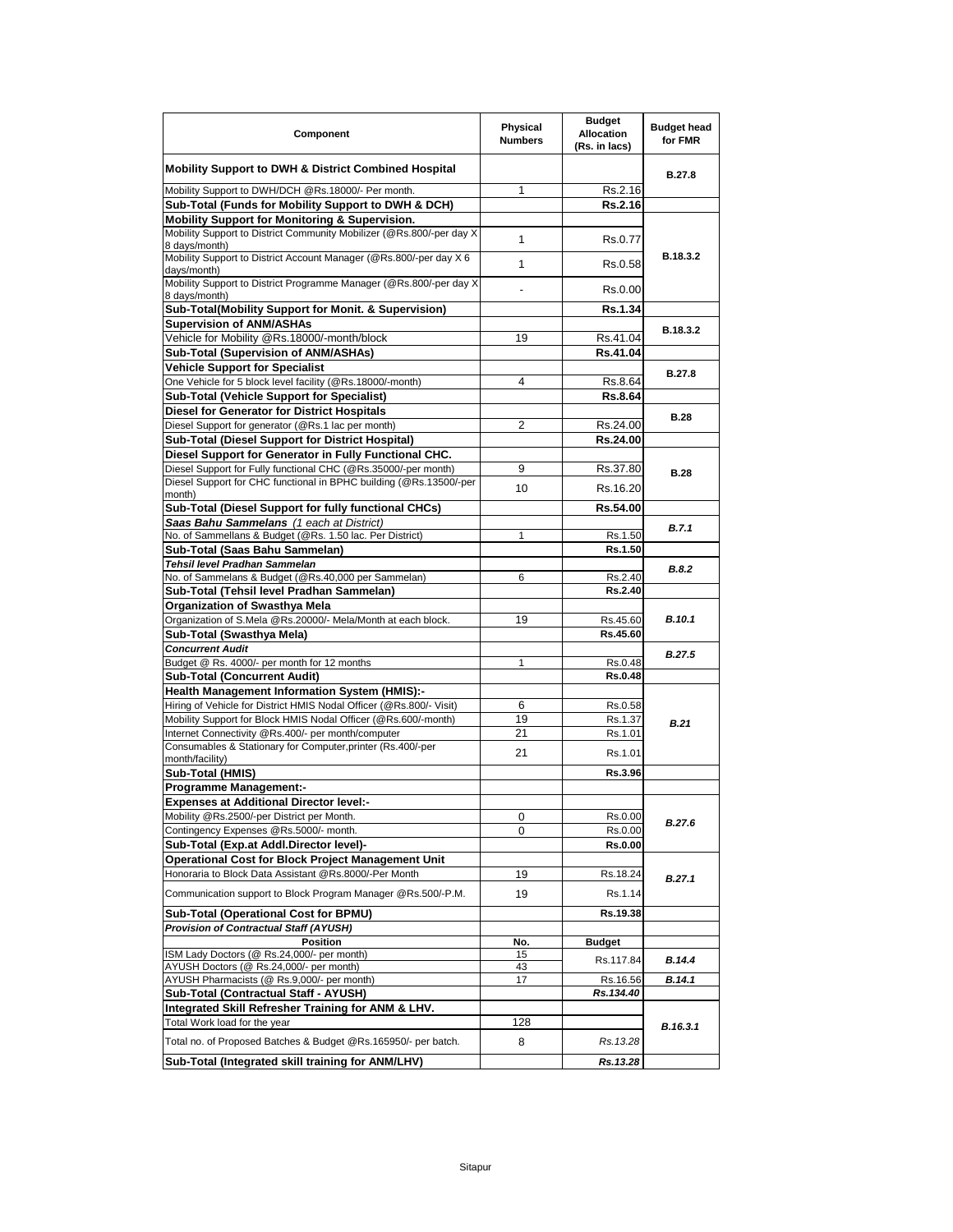| Component                                                                                                               | Physical<br><b>Numbers</b> | <b>Budget</b><br><b>Allocation</b><br>(Rs. in lacs) | <b>Budget head</b><br>for FMR |
|-------------------------------------------------------------------------------------------------------------------------|----------------------------|-----------------------------------------------------|-------------------------------|
| <b>Mobility Support to DWH &amp; District Combined Hospital</b>                                                         |                            |                                                     | <b>B.27.8</b>                 |
| Mobility Support to DWH/DCH @Rs.18000/- Per month.                                                                      | 1                          | Rs.2.16                                             |                               |
| Sub-Total (Funds for Mobility Support to DWH & DCH)                                                                     |                            | Rs.2.16                                             |                               |
| <b>Mobility Support for Monitoring &amp; Supervision.</b>                                                               |                            |                                                     |                               |
| Mobility Support to District Community Mobilizer (@Rs.800/-per day X                                                    | 1                          | Rs.0.77                                             |                               |
| 8 days/month)<br>Mobility Support to District Account Manager (@Rs.800/-per day X 6                                     |                            |                                                     | B.18.3.2                      |
| days/month)<br>Mobility Support to District Programme Manager (@Rs.800/-per day X                                       | 1                          | Rs.0.58                                             |                               |
| 8 days/month)                                                                                                           |                            | Rs.0.00                                             |                               |
| Sub-Total(Mobility Support for Monit. & Supervision)                                                                    |                            | Rs.1.34                                             |                               |
| <b>Supervision of ANM/ASHAs</b>                                                                                         |                            |                                                     | B.18.3.2                      |
| Vehicle for Mobility @Rs.18000/-month/block                                                                             | 19                         | Rs.41.04                                            |                               |
| Sub-Total (Supervision of ANM/ASHAs)                                                                                    |                            | Rs.41.04                                            |                               |
| <b>Vehicle Support for Specialist</b>                                                                                   |                            |                                                     | B.27.8                        |
| One Vehicle for 5 block level facility (@Rs.18000/-month)                                                               | $\overline{\mathbf{4}}$    | Rs.8.64                                             |                               |
| Sub-Total (Vehicle Support for Specialist)                                                                              |                            | <b>Rs.8.64</b>                                      |                               |
| Diesel for Generator for District Hospitals<br>Diesel Support for generator (@Rs.1 lac per month)                       |                            |                                                     | <b>B.28</b>                   |
|                                                                                                                         | 2                          | Rs.24.00                                            |                               |
| Sub-Total (Diesel Support for District Hospital)                                                                        |                            | Rs.24.00                                            |                               |
| Diesel Support for Generator in Fully Functional CHC.<br>Diesel Support for Fully functional CHC (@Rs.35000/-per month) |                            |                                                     |                               |
| Diesel Support for CHC functional in BPHC building (@Rs.13500/-per                                                      | 9                          | Rs.37.80                                            | <b>B.28</b>                   |
| month)                                                                                                                  | 10                         | Rs.16.20                                            |                               |
| Sub-Total (Diesel Support for fully functional CHCs)                                                                    |                            | Rs.54.00                                            |                               |
| Saas Bahu Sammelans (1 each at District)                                                                                |                            |                                                     | B.7.1                         |
| No. of Sammellans & Budget (@Rs. 1.50 lac. Per District)                                                                | 1                          | Rs.1.50<br>Rs.1.50                                  |                               |
| Sub-Total (Saas Bahu Sammelan)<br>Tehsil level Pradhan Sammelan                                                         |                            |                                                     |                               |
| No. of Sammelans & Budget (@Rs.40,000 per Sammelan)                                                                     | 6                          | Rs.2.40                                             | B.8.2                         |
| Sub-Total (Tehsil level Pradhan Sammelan)                                                                               |                            | Rs.2.40                                             |                               |
| Organization of Swasthya Mela                                                                                           |                            |                                                     |                               |
| Organization of S.Mela @Rs.20000/- Mela/Month at each block.                                                            | 19                         | Rs.45.60                                            | B.10.1                        |
| Sub-Total (Swasthya Mela)                                                                                               |                            | Rs.45.60                                            |                               |
| <b>Concurrent Audit</b>                                                                                                 |                            |                                                     |                               |
| Budget @ Rs. 4000/- per month for 12 months                                                                             | 1                          | Rs.0.48                                             | <b>B.27.5</b>                 |
| <b>Sub-Total (Concurrent Audit)</b>                                                                                     |                            | <b>Rs.0.48</b>                                      |                               |
| <b>Health Management Information System (HMIS):-</b>                                                                    |                            |                                                     |                               |
| Hiring of Vehicle for District HMIS Nodal Officer (@Rs.800/- Visit)                                                     | 6                          | Rs.0.58                                             |                               |
| Mobility Support for Block HMIS Nodal Officer (@Rs.600/-month)                                                          | 19                         | Rs.1.37                                             | B.21                          |
| Internet Connectivity @Rs.400/- per month/computer                                                                      | 21                         | Rs.1.01                                             |                               |
| Consumables & Stationary for Computer, printer (Rs.400/-per                                                             | 21                         | Rs.1.01                                             |                               |
| month/facility)                                                                                                         |                            |                                                     |                               |
| Sub-Total (HMIS)                                                                                                        |                            | Rs.3.96                                             |                               |
| <b>Programme Management:-</b>                                                                                           |                            |                                                     |                               |
| <b>Expenses at Additional Director level:-</b><br>Mobility @Rs.2500/-per District per Month.                            |                            |                                                     |                               |
| Contingency Expenses @Rs.5000/- month.                                                                                  | 0<br>0                     | Rs.0.00<br>Rs.0.00                                  | B.27.6                        |
| Sub-Total (Exp.at Addl.Director level)-                                                                                 |                            | <b>Rs.0.00</b>                                      |                               |
| Operational Cost for Block Project Management Unit                                                                      |                            |                                                     |                               |
| Honoraria to Block Data Assistant @Rs.8000/-Per Month                                                                   | 19                         | Rs.18.24                                            |                               |
| Communication support to Block Program Manager @Rs.500/-P.M.                                                            | 19                         | Rs.1.14                                             | B.27.1                        |
| Sub-Total (Operational Cost for BPMU)                                                                                   |                            | Rs.19.38                                            |                               |
| Provision of Contractual Staff (AYUSH)                                                                                  |                            |                                                     |                               |
| <b>Position</b>                                                                                                         | No.                        | <b>Budget</b>                                       |                               |
| ISM Lady Doctors (@ Rs.24,000/- per month)                                                                              | 15                         | Rs.117.84                                           | B.14.4                        |
| AYUSH Doctors (@ Rs.24,000/- per month)                                                                                 | 43                         |                                                     |                               |
| AYUSH Pharmacists (@ Rs.9,000/- per month)                                                                              | 17                         | Rs.16.56                                            | B.14.1                        |
| Sub-Total (Contractual Staff - AYUSH)                                                                                   |                            | Rs.134.40                                           |                               |
| Integrated Skill Refresher Training for ANM & LHV.                                                                      |                            |                                                     |                               |
| Total Work load for the year                                                                                            | 128                        |                                                     | B.16.3.1                      |
| Total no. of Proposed Batches & Budget @Rs.165950/- per batch.                                                          | 8                          | Rs.13.28                                            |                               |
| Sub-Total (Integrated skill training for ANM/LHV)                                                                       |                            | Rs.13.28                                            |                               |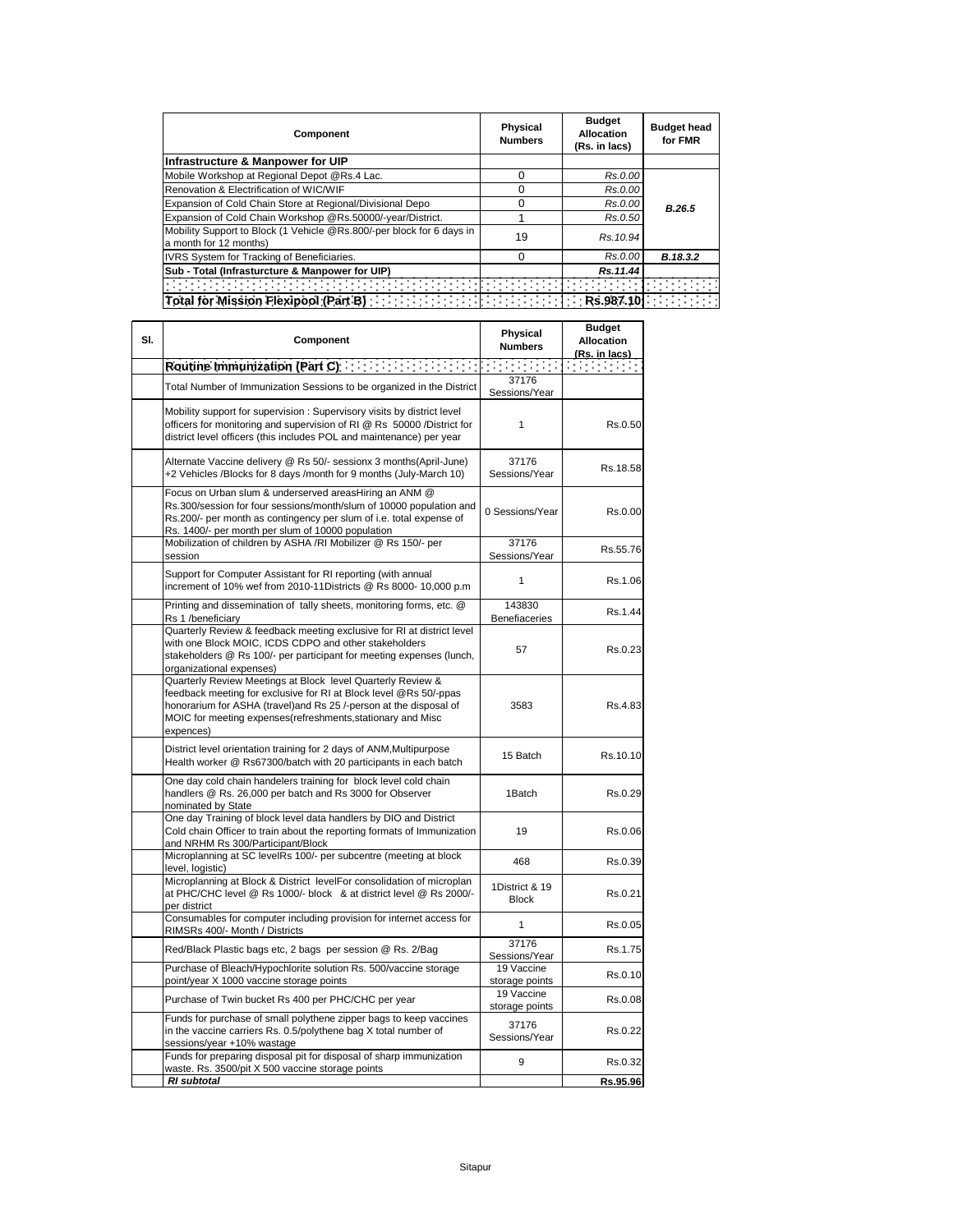| Component                                                                                       | <b>Physical</b><br><b>Numbers</b> | <b>Budget</b><br><b>Allocation</b><br>(Rs. in lacs) | <b>Budget head</b><br>for FMR |
|-------------------------------------------------------------------------------------------------|-----------------------------------|-----------------------------------------------------|-------------------------------|
| Infrastructure & Manpower for UIP                                                               |                                   |                                                     |                               |
| Mobile Workshop at Regional Depot @Rs.4 Lac.                                                    | ი                                 | Rs.0.00                                             |                               |
| Renovation & Electrification of WIC/WIF                                                         | n                                 | Rs.0.00                                             |                               |
| Expansion of Cold Chain Store at Regional/Divisional Depo                                       | ი                                 | Rs.0.00                                             | B.26.5                        |
| Expansion of Cold Chain Workshop @Rs.50000/-year/District.                                      |                                   | Rs.0.50                                             |                               |
| Mobility Support to Block (1 Vehicle @Rs.800/-per block for 6 days in<br>a month for 12 months) | 19                                | Rs. 10.94                                           |                               |
| IVRS System for Tracking of Beneficiaries.                                                      | ი                                 | Rs.0.00                                             | B.18.3.2                      |
| Sub - Total (Infrasturcture & Manpower for UIP)                                                 |                                   | Rs.11.44                                            |                               |
|                                                                                                 |                                   |                                                     |                               |
| Total for Mission Flexipool (Part B)                                                            | Rs.987.10                         |                                                     |                               |

| SI. | Component                                                                                                                                                                                                                                                                         | Physical<br><b>Numbers</b>     | <b>Budget</b><br><b>Allocation</b><br>(Rs. in lacs) |
|-----|-----------------------------------------------------------------------------------------------------------------------------------------------------------------------------------------------------------------------------------------------------------------------------------|--------------------------------|-----------------------------------------------------|
|     | Routine Immunization (Part C)                                                                                                                                                                                                                                                     |                                |                                                     |
|     | Total Number of Immunization Sessions to be organized in the District                                                                                                                                                                                                             | 37176<br>Sessions/Year         |                                                     |
|     | Mobility support for supervision: Supervisory visits by district level<br>officers for monitoring and supervision of RI @ Rs 50000 /District for<br>district level officers (this includes POL and maintenance) per year                                                          | 1                              | Rs.0.50                                             |
|     | Alternate Vaccine delivery @ Rs 50/- sessionx 3 months(April-June)<br>+2 Vehicles /Blocks for 8 days /month for 9 months (July-March 10)                                                                                                                                          | 37176<br>Sessions/Year         | Rs.18.58                                            |
|     | Focus on Urban slum & underserved areasHiring an ANM @<br>Rs.300/session for four sessions/month/slum of 10000 population and<br>Rs.200/- per month as contingency per slum of i.e. total expense of<br>Rs. 1400/- per month per slum of 10000 population                         | 0 Sessions/Year                | Rs.0.00                                             |
|     | Mobilization of children by ASHA /RI Mobilizer @ Rs 150/- per<br>session                                                                                                                                                                                                          | 37176<br>Sessions/Year         | Rs.55.76                                            |
|     | Support for Computer Assistant for RI reporting (with annual<br>increment of 10% wef from 2010-11Districts @ Rs 8000- 10,000 p.m                                                                                                                                                  | 1                              | Rs.1.06                                             |
|     | Printing and dissemination of tally sheets, monitoring forms, etc. @<br>Rs 1 /beneficiary                                                                                                                                                                                         | 143830<br>Benefiaceries        | Rs.1.44                                             |
|     | Quarterly Review & feedback meeting exclusive for RI at district level<br>with one Block MOIC, ICDS CDPO and other stakeholders<br>stakeholders @ Rs 100/- per participant for meeting expenses (lunch,<br>organizational expenses)                                               | 57                             | Rs.0.23                                             |
|     | Quarterly Review Meetings at Block level Quarterly Review &<br>feedback meeting for exclusive for RI at Block level @Rs 50/-ppas<br>honorarium for ASHA (travel)and Rs 25 /-person at the disposal of<br>MOIC for meeting expenses(refreshments, stationary and Misc<br>expences) | 3583                           | Rs.4.83                                             |
|     | District level orientation training for 2 days of ANM, Multipurpose<br>Health worker @ Rs67300/batch with 20 participants in each batch                                                                                                                                           | 15 Batch                       | Rs.10.10                                            |
|     | One day cold chain handelers training for block level cold chain<br>handlers @ Rs. 26,000 per batch and Rs 3000 for Observer<br>nominated by State                                                                                                                                | 1Batch                         | Rs.0.29                                             |
|     | One day Training of block level data handlers by DIO and District<br>Cold chain Officer to train about the reporting formats of Immunization<br>and NRHM Rs 300/Participant/Block                                                                                                 | 19                             | Rs.0.06                                             |
|     | Microplanning at SC levelRs 100/- per subcentre (meeting at block<br>level, logistic)                                                                                                                                                                                             | 468                            | Rs.0.39                                             |
|     | Microplanning at Block & District levelFor consolidation of microplan<br>at PHC/CHC level @ Rs 1000/- block & at district level @ Rs 2000/-<br>per district                                                                                                                       | 1District & 19<br><b>Block</b> | Rs.0.21                                             |
|     | Consumables for computer including provision for internet access for<br>RIMSRs 400/- Month / Districts                                                                                                                                                                            | 1                              | Rs.0.05                                             |
|     | Red/Black Plastic bags etc, 2 bags per session @ Rs. 2/Bag                                                                                                                                                                                                                        | 37176<br>Sessions/Year         | Rs.1.75                                             |
|     | Purchase of Bleach/Hypochlorite solution Rs. 500/vaccine storage<br>point/year X 1000 vaccine storage points                                                                                                                                                                      | 19 Vaccine<br>storage points   | Rs.0.10                                             |
|     | Purchase of Twin bucket Rs 400 per PHC/CHC per year                                                                                                                                                                                                                               | 19 Vaccine<br>storage points   | Rs.0.08                                             |
|     | Funds for purchase of small polythene zipper bags to keep vaccines<br>in the vaccine carriers Rs. 0.5/polythene bag X total number of<br>sessions/year +10% wastage                                                                                                               | 37176<br>Sessions/Year         | Rs.0.22                                             |
|     | Funds for preparing disposal pit for disposal of sharp immunization<br>waste. Rs. 3500/pit X 500 vaccine storage points                                                                                                                                                           | 9                              | Rs.0.32                                             |
|     | <b>RI</b> subtotal                                                                                                                                                                                                                                                                |                                | Rs.95.96                                            |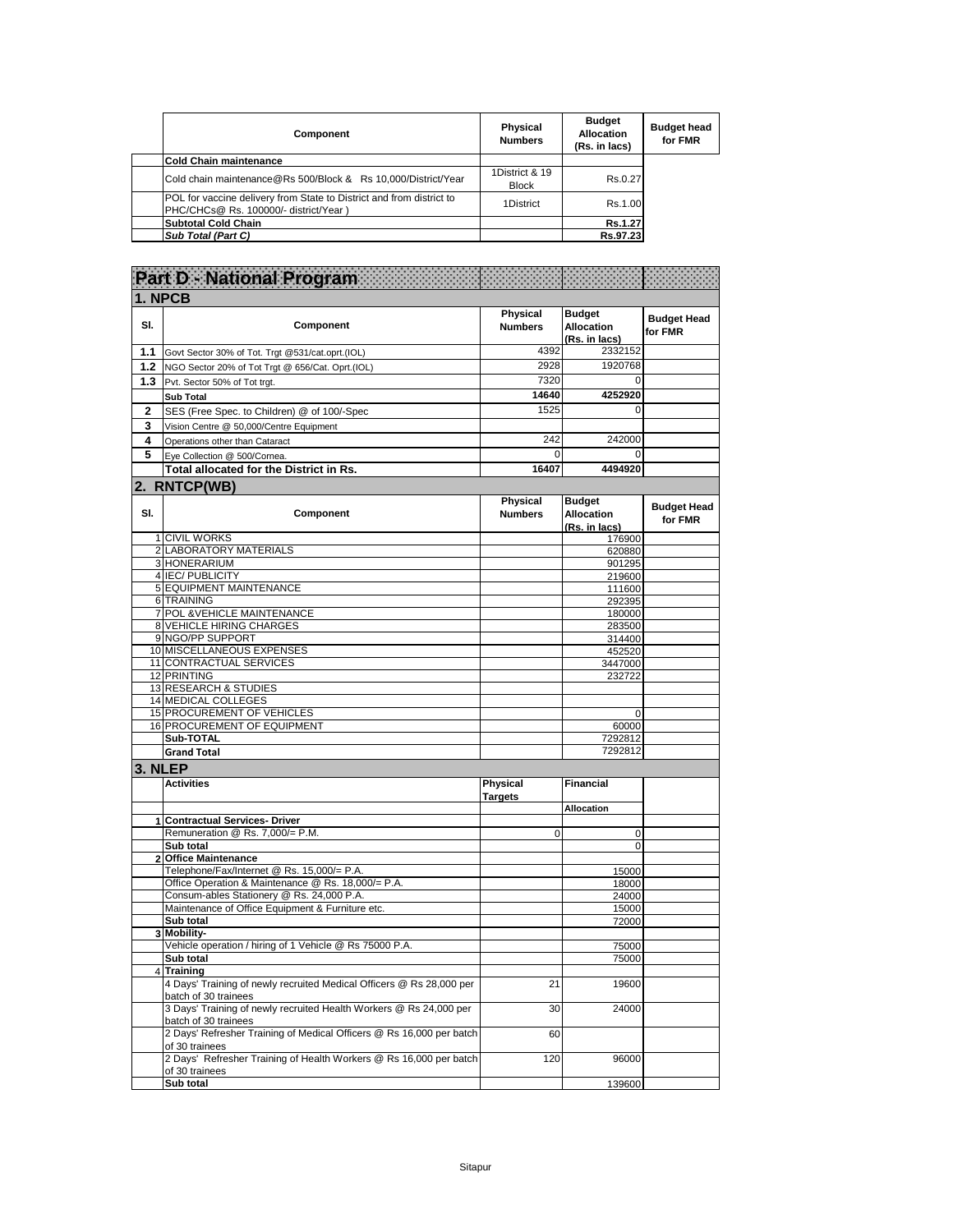| Component                                                                                                     | Physical<br><b>Numbers</b>     | <b>Budget</b><br><b>Allocation</b><br>(Rs. in lacs) | <b>Budget head</b><br>for FMR |
|---------------------------------------------------------------------------------------------------------------|--------------------------------|-----------------------------------------------------|-------------------------------|
| <b>Cold Chain maintenance</b>                                                                                 |                                |                                                     |                               |
| Cold chain maintenance@Rs 500/Block & Rs 10,000/District/Year                                                 | 1District & 19<br><b>Block</b> | Rs.0.27                                             |                               |
| POL for vaccine delivery from State to District and from district to<br>PHC/CHCs@ Rs. 100000/- district/Year) | 1District                      | Rs.1.00                                             |                               |
| <b>Subtotal Cold Chain</b>                                                                                    |                                | Rs.1.27                                             |                               |
| Sub Total (Part C)                                                                                            |                                | Rs.97.23                                            |                               |

 $\begin{array}{c} \hline \end{array}$ 

|         | <b>Part D - National Program</b>                                                             |                                   |                                              |                               |
|---------|----------------------------------------------------------------------------------------------|-----------------------------------|----------------------------------------------|-------------------------------|
|         | 1. NPCB                                                                                      |                                   |                                              |                               |
| SI.     | Component                                                                                    | <b>Physical</b><br><b>Numbers</b> | <b>Budget</b><br>Allocation<br>(Rs. in lacs) | <b>Budget Head</b><br>for FMR |
| 1.1     | Govt Sector 30% of Tot. Trgt @531/cat.oprt.(IOL)                                             | 4392                              | 2332152                                      |                               |
|         | 1.2 NGO Sector 20% of Tot Trgt @ 656/Cat. Oprt.(IOL)                                         | 2928                              | 1920768                                      |                               |
| 1.3     | Pvt. Sector 50% of Tot trgt.                                                                 | 7320                              | 0                                            |                               |
|         | <b>Sub Total</b>                                                                             | 14640                             | 4252920                                      |                               |
| 2       | SES (Free Spec. to Children) @ of 100/-Spec                                                  | 1525                              | $\Omega$                                     |                               |
| 3       | Vision Centre @ 50,000/Centre Equipment                                                      |                                   |                                              |                               |
| 4       | Operations other than Cataract                                                               | 242                               | 242000                                       |                               |
| 5       | Eye Collection @ 500/Cornea.                                                                 | 0                                 | 0                                            |                               |
|         | <b>Total allocated for the District in Rs.</b>                                               | 16407                             | 4494920                                      |                               |
|         | 2. RNTCP(WB)                                                                                 |                                   |                                              |                               |
| SI.     | Component                                                                                    | Physical<br><b>Numbers</b>        | <b>Budget</b><br>Allocation<br>(Rs. in lacs) | <b>Budget Head</b><br>for FMR |
|         | 1 CIVIL WORKS                                                                                |                                   | 176900                                       |                               |
|         | 2 LABORATORY MATERIALS<br>3 HONERARIUM                                                       |                                   | 620880<br>901295                             |                               |
|         | 4 IEC/PUBLICITY                                                                              |                                   | 219600                                       |                               |
|         | 5 EQUIPMENT MAINTENANCE                                                                      |                                   | 111600                                       |                               |
|         | 6 TRAINING                                                                                   |                                   | 292395                                       |                               |
|         | 7 POL & VEHICLE MAINTENANCE                                                                  |                                   | 180000                                       |                               |
|         | 8 VEHICLE HIRING CHARGES                                                                     |                                   | 283500                                       |                               |
|         | 9 NGO/PP SUPPORT<br>10 MISCELLANEOUS EXPENSES                                                |                                   | 314400<br>452520                             |                               |
|         | 11 CONTRACTUAL SERVICES                                                                      |                                   | 3447000                                      |                               |
|         | 12 PRINTING                                                                                  |                                   | 232722                                       |                               |
|         | 13 RESEARCH & STUDIES                                                                        |                                   |                                              |                               |
|         | 14 MEDICAL COLLEGES                                                                          |                                   |                                              |                               |
|         | 15 PROCUREMENT OF VEHICLES                                                                   |                                   | $\Omega$                                     |                               |
|         | 16 PROCUREMENT OF EQUIPMENT<br>Sub-TOTAL                                                     |                                   | 60000<br>7292812                             |                               |
|         | <b>Grand Total</b>                                                                           |                                   | 7292812                                      |                               |
| 3. NLEP |                                                                                              |                                   |                                              |                               |
|         | <b>Activities</b>                                                                            | Physical<br><b>Targets</b>        | <b>Financial</b>                             |                               |
|         |                                                                                              |                                   | <b>Allocation</b>                            |                               |
|         | 1 Contractual Services-Driver                                                                |                                   |                                              |                               |
|         | Remuneration @ Rs. 7,000/= P.M.                                                              | 0                                 | 0                                            |                               |
|         | Sub total<br>2 Office Maintenance                                                            |                                   | 0                                            |                               |
|         | Telephone/Fax/Internet @ Rs. 15,000/= P.A.                                                   |                                   | 15000                                        |                               |
|         | Office Operation & Maintenance @ Rs. 18,000/= P.A.                                           |                                   | 18000                                        |                               |
|         | Consum-ables Stationery @ Rs. 24,000 P.A.                                                    |                                   | 24000                                        |                               |
|         | Maintenance of Office Equipment & Furniture etc.                                             |                                   | 15000                                        |                               |
|         | Sub total                                                                                    |                                   | 72000                                        |                               |
|         | 3 Mobility-<br>Vehicle operation / hiring of 1 Vehicle @ Rs 75000 P.A.                       |                                   | 75000                                        |                               |
|         | Sub total                                                                                    |                                   | 75000                                        |                               |
|         | 4 Training                                                                                   |                                   |                                              |                               |
|         | 4 Days' Training of newly recruited Medical Officers @ Rs 28,000 per<br>batch of 30 trainees | 21                                | 19600                                        |                               |
|         | 3 Days' Training of newly recruited Health Workers @ Rs 24,000 per<br>batch of 30 trainees   | 30                                | 24000                                        |                               |
|         | 2 Days' Refresher Training of Medical Officers @ Rs 16,000 per batch<br>of 30 trainees       | 60                                |                                              |                               |
|         | 2 Days' Refresher Training of Health Workers @ Rs 16,000 per batch<br>of 30 trainees         | 120                               | 96000                                        |                               |
|         | Sub total                                                                                    |                                   | 139600                                       |                               |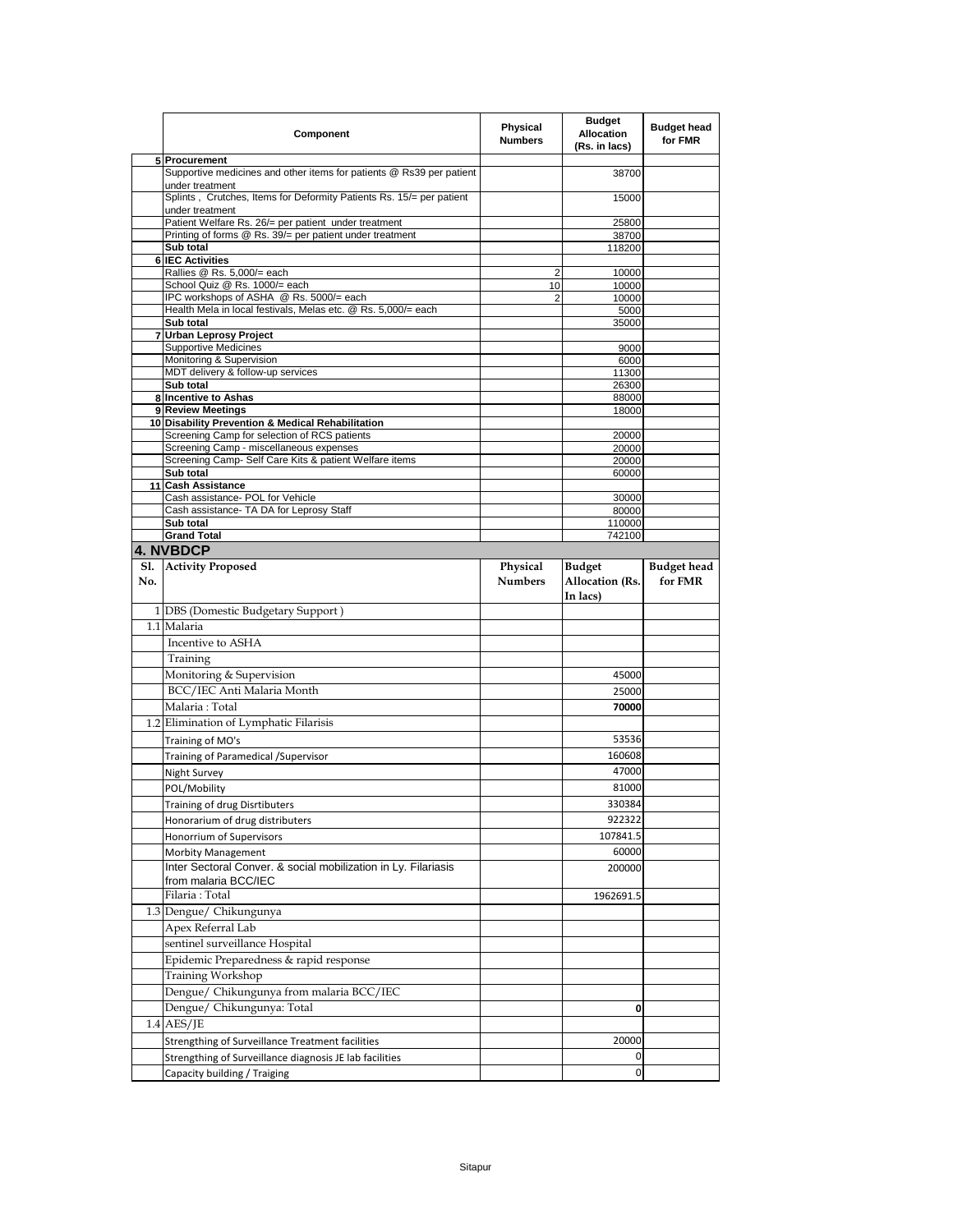|     | Component                                                                               | Physical<br><b>Numbers</b> | <b>Budget</b><br><b>Allocation</b><br>(Rs. in lacs) | <b>Budget head</b><br>for FMR |
|-----|-----------------------------------------------------------------------------------------|----------------------------|-----------------------------------------------------|-------------------------------|
|     | 5 Procurement                                                                           |                            |                                                     |                               |
|     | Supportive medicines and other items for patients @ Rs39 per patient<br>under treatment |                            | 38700                                               |                               |
|     | Splints, Crutches, Items for Deformity Patients Rs. 15/= per patient<br>under treatment |                            | 15000                                               |                               |
|     | Patient Welfare Rs. 26/= per patient under treatment                                    |                            | 25800                                               |                               |
|     | Printing of forms @ Rs. 39/= per patient under treatment                                |                            | 38700                                               |                               |
|     | Sub total<br><b>IEC Activities</b>                                                      |                            | 118200                                              |                               |
| 6   | Rallies @ Rs. 5,000/= each                                                              | 2                          | 10000                                               |                               |
|     | School Quiz @ Rs. 1000/= each                                                           | 10                         | 10000                                               |                               |
|     | IPC workshops of ASHA @ Rs. 5000/= each                                                 | 2                          | 10000                                               |                               |
|     | Health Mela in local festivals, Melas etc. @ Rs. 5,000/= each                           |                            | 5000                                                |                               |
|     | Sub total                                                                               |                            | 35000                                               |                               |
|     | 7 Urban Leprosy Project<br><b>Supportive Medicines</b>                                  |                            | 9000                                                |                               |
|     | Monitoring & Supervision                                                                |                            | 6000                                                |                               |
|     | MDT delivery & follow-up services                                                       |                            | 11300                                               |                               |
|     | Sub total                                                                               |                            | 26300                                               |                               |
|     | 8 Incentive to Ashas                                                                    |                            | 88000                                               |                               |
|     | 9 Review Meetings<br>10 Disability Prevention & Medical Rehabilitation                  |                            | 18000                                               |                               |
|     | Screening Camp for selection of RCS patients                                            |                            | 20000                                               |                               |
|     | Screening Camp - miscellaneous expenses                                                 |                            | 20000                                               |                               |
|     | Screening Camp- Self Care Kits & patient Welfare items                                  |                            | 20000                                               |                               |
|     | Sub total                                                                               |                            | 60000                                               |                               |
|     | 11 Cash Assistance<br>Cash assistance- POL for Vehicle                                  |                            | 30000                                               |                               |
|     | Cash assistance- TA DA for Leprosy Staff                                                |                            | 80000                                               |                               |
|     | Sub total                                                                               |                            | 110000                                              |                               |
|     | <b>Grand Total</b>                                                                      |                            | 742100                                              |                               |
|     | <b>4. NVBDCP</b>                                                                        |                            |                                                     |                               |
|     | Sl. Activity Proposed                                                                   | Physical                   | <b>Budget</b>                                       | <b>Budget head</b>            |
| No. |                                                                                         | <b>Numbers</b>             | <b>Allocation</b> (Rs.                              | for FMR                       |
|     |                                                                                         |                            | In lacs)                                            |                               |
|     | 1 DBS (Domestic Budgetary Support)                                                      |                            |                                                     |                               |
|     | 1.1 Malaria                                                                             |                            |                                                     |                               |
|     | Incentive to ASHA                                                                       |                            |                                                     |                               |
|     | Training                                                                                |                            |                                                     |                               |
|     | Monitoring & Supervision                                                                |                            | 45000                                               |                               |
|     | BCC/IEC Anti Malaria Month                                                              |                            | 25000                                               |                               |
|     | Malaria: Total                                                                          |                            | 70000                                               |                               |
|     | 1.2 Elimination of Lymphatic Filarisis                                                  |                            |                                                     |                               |
|     | Training of MO's                                                                        |                            | 53536                                               |                               |
|     | Training of Paramedical / Supervisor                                                    |                            | 160608                                              |                               |
|     |                                                                                         |                            | 47000                                               |                               |
|     | Night Survey<br>POL/Mobility                                                            |                            | 81000                                               |                               |
|     |                                                                                         |                            |                                                     |                               |
|     | Training of drug Disrtibuters                                                           |                            |                                                     |                               |
|     |                                                                                         |                            | 330384                                              |                               |
|     | Honorarium of drug distributers                                                         |                            | 922322                                              |                               |
|     | Honorrium of Supervisors                                                                |                            | 107841.5                                            |                               |
|     | Morbity Management                                                                      |                            | 60000                                               |                               |
|     | Inter Sectoral Conver. & social mobilization in Ly. Filariasis<br>from malaria BCC/IEC  |                            | 200000                                              |                               |
|     | Filaria: Total                                                                          |                            | 1962691.5                                           |                               |
|     | 1.3 Dengue/ Chikungunya                                                                 |                            |                                                     |                               |
|     | Apex Referral Lab                                                                       |                            |                                                     |                               |
|     | sentinel surveillance Hospital                                                          |                            |                                                     |                               |
|     | Epidemic Preparedness & rapid response                                                  |                            |                                                     |                               |
|     | Training Workshop                                                                       |                            |                                                     |                               |
|     |                                                                                         |                            |                                                     |                               |
|     | Dengue/ Chikungunya from malaria BCC/IEC                                                |                            |                                                     |                               |
|     | Dengue/ Chikungunya: Total                                                              |                            | 0                                                   |                               |
|     | $1.4$ AES/JE                                                                            |                            |                                                     |                               |
|     | Strengthing of Surveillance Treatment facilities                                        |                            | 20000                                               |                               |
|     | Strengthing of Surveillance diagnosis JE lab facilities<br>Capacity building / Traiging |                            | 0<br>$\mathbf{0}$                                   |                               |